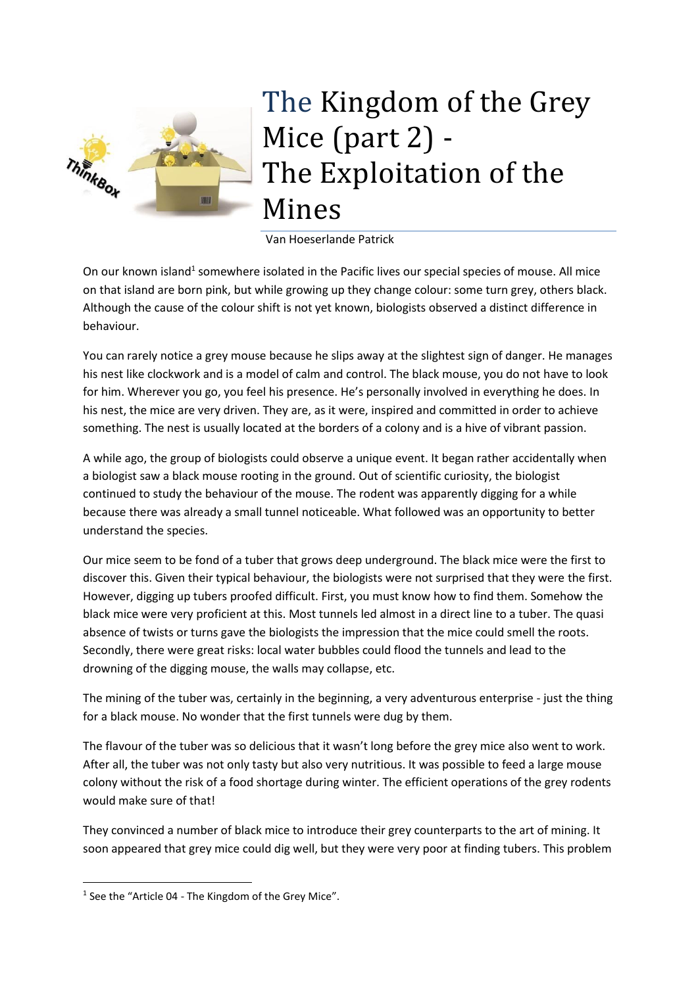

## The Kingdom of the Grey Mice (part 2) - The Exploitation of the Mines

Van Hoeserlande Patrick

On our known island<sup>1</sup> somewhere isolated in the Pacific lives our special species of mouse. All mice on that island are born pink, but while growing up they change colour: some turn grey, others black. Although the cause of the colour shift is not yet known, biologists observed a distinct difference in behaviour.

You can rarely notice a grey mouse because he slips away at the slightest sign of danger. He manages his nest like clockwork and is a model of calm and control. The black mouse, you do not have to look for him. Wherever you go, you feel his presence. He's personally involved in everything he does. In his nest, the mice are very driven. They are, as it were, inspired and committed in order to achieve something. The nest is usually located at the borders of a colony and is a hive of vibrant passion.

A while ago, the group of biologists could observe a unique event. It began rather accidentally when a biologist saw a black mouse rooting in the ground. Out of scientific curiosity, the biologist continued to study the behaviour of the mouse. The rodent was apparently digging for a while because there was already a small tunnel noticeable. What followed was an opportunity to better understand the species.

Our mice seem to be fond of a tuber that grows deep underground. The black mice were the first to discover this. Given their typical behaviour, the biologists were not surprised that they were the first. However, digging up tubers proofed difficult. First, you must know how to find them. Somehow the black mice were very proficient at this. Most tunnels led almost in a direct line to a tuber. The quasi absence of twists or turns gave the biologists the impression that the mice could smell the roots. Secondly, there were great risks: local water bubbles could flood the tunnels and lead to the drowning of the digging mouse, the walls may collapse, etc.

The mining of the tuber was, certainly in the beginning, a very adventurous enterprise - just the thing for a black mouse. No wonder that the first tunnels were dug by them.

The flavour of the tuber was so delicious that it wasn't long before the grey mice also went to work. After all, the tuber was not only tasty but also very nutritious. It was possible to feed a large mouse colony without the risk of a food shortage during winter. The efficient operations of the grey rodents would make sure of that!

They convinced a number of black mice to introduce their grey counterparts to the art of mining. It soon appeared that grey mice could dig well, but they were very poor at finding tubers. This problem

**.** 

<sup>&</sup>lt;sup>1</sup> See the "Article 04 - The Kingdom of the Grey Mice".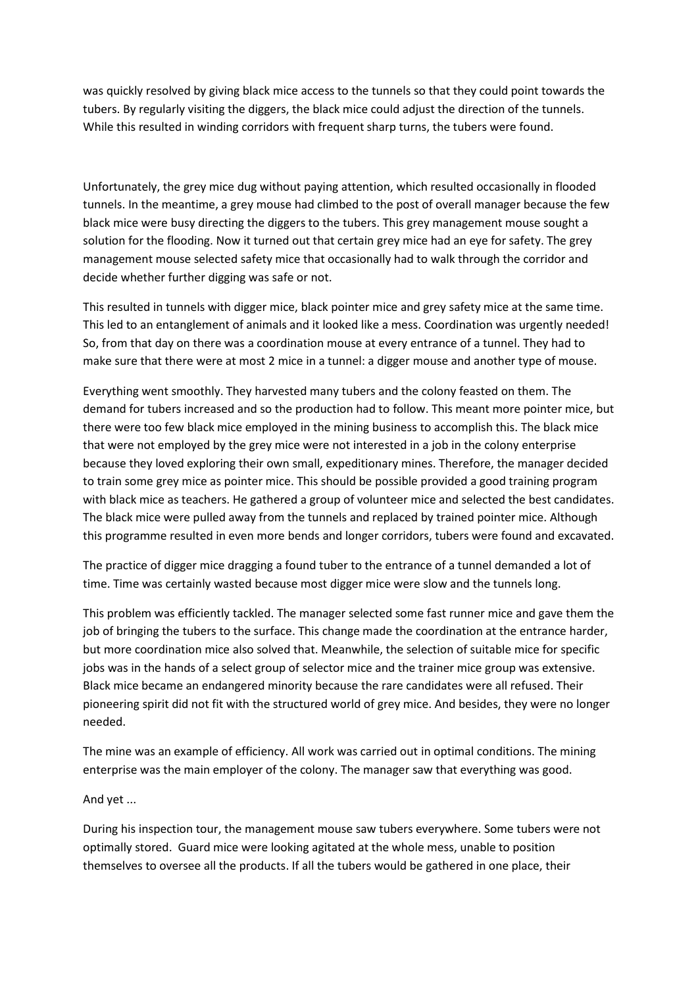was quickly resolved by giving black mice access to the tunnels so that they could point towards the tubers. By regularly visiting the diggers, the black mice could adjust the direction of the tunnels. While this resulted in winding corridors with frequent sharp turns, the tubers were found.

Unfortunately, the grey mice dug without paying attention, which resulted occasionally in flooded tunnels. In the meantime, a grey mouse had climbed to the post of overall manager because the few black mice were busy directing the diggers to the tubers. This grey management mouse sought a solution for the flooding. Now it turned out that certain grey mice had an eye for safety. The grey management mouse selected safety mice that occasionally had to walk through the corridor and decide whether further digging was safe or not.

This resulted in tunnels with digger mice, black pointer mice and grey safety mice at the same time. This led to an entanglement of animals and it looked like a mess. Coordination was urgently needed! So, from that day on there was a coordination mouse at every entrance of a tunnel. They had to make sure that there were at most 2 mice in a tunnel: a digger mouse and another type of mouse.

Everything went smoothly. They harvested many tubers and the colony feasted on them. The demand for tubers increased and so the production had to follow. This meant more pointer mice, but there were too few black mice employed in the mining business to accomplish this. The black mice that were not employed by the grey mice were not interested in a job in the colony enterprise because they loved exploring their own small, expeditionary mines. Therefore, the manager decided to train some grey mice as pointer mice. This should be possible provided a good training program with black mice as teachers. He gathered a group of volunteer mice and selected the best candidates. The black mice were pulled away from the tunnels and replaced by trained pointer mice. Although this programme resulted in even more bends and longer corridors, tubers were found and excavated.

The practice of digger mice dragging a found tuber to the entrance of a tunnel demanded a lot of time. Time was certainly wasted because most digger mice were slow and the tunnels long.

This problem was efficiently tackled. The manager selected some fast runner mice and gave them the job of bringing the tubers to the surface. This change made the coordination at the entrance harder, but more coordination mice also solved that. Meanwhile, the selection of suitable mice for specific jobs was in the hands of a select group of selector mice and the trainer mice group was extensive. Black mice became an endangered minority because the rare candidates were all refused. Their pioneering spirit did not fit with the structured world of grey mice. And besides, they were no longer needed.

The mine was an example of efficiency. All work was carried out in optimal conditions. The mining enterprise was the main employer of the colony. The manager saw that everything was good.

## And yet ...

During his inspection tour, the management mouse saw tubers everywhere. Some tubers were not optimally stored. Guard mice were looking agitated at the whole mess, unable to position themselves to oversee all the products. If all the tubers would be gathered in one place, their